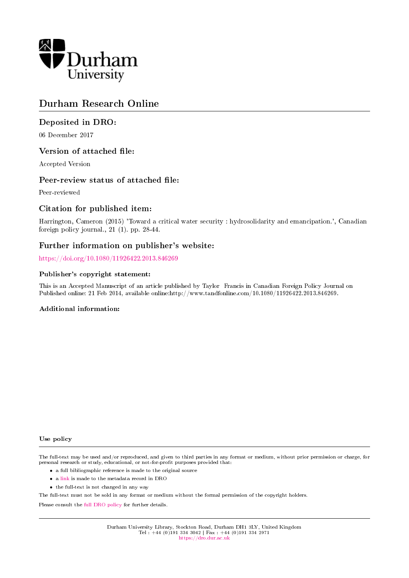

# Durham Research Online

## Deposited in DRO:

06 December 2017

### Version of attached file:

Accepted Version

### Peer-review status of attached file:

Peer-reviewed

### Citation for published item:

Harrington, Cameron (2015) 'Toward a critical water security : hydrosolidarity and emancipation.', Canadian foreign policy journal., 21 (1). pp. 28-44.

### Further information on publisher's website:

<https://doi.org/10.1080/11926422.2013.846269>

#### Publisher's copyright statement:

This is an Accepted Manuscript of an article published by Taylor Francis in Canadian Foreign Policy Journal on Published online: 21 Feb 2014, available online:http://www.tandfonline.com/10.1080/11926422.2013.846269.

#### Additional information:

#### Use policy

The full-text may be used and/or reproduced, and given to third parties in any format or medium, without prior permission or charge, for personal research or study, educational, or not-for-profit purposes provided that:

- a full bibliographic reference is made to the original source
- a [link](http://dro.dur.ac.uk/23643/) is made to the metadata record in DRO
- the full-text is not changed in any way

The full-text must not be sold in any format or medium without the formal permission of the copyright holders.

Please consult the [full DRO policy](https://dro.dur.ac.uk/policies/usepolicy.pdf) for further details.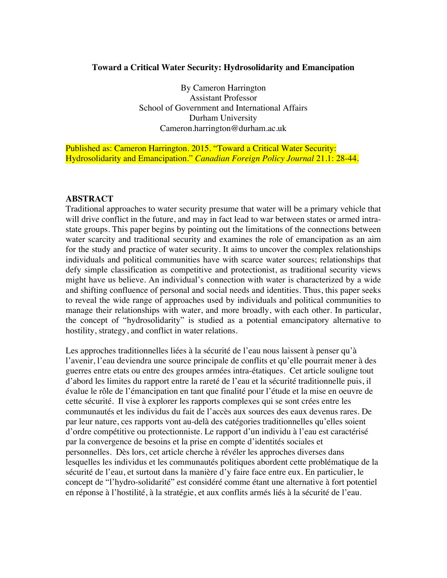### **Toward a Critical Water Security: Hydrosolidarity and Emancipation**

By Cameron Harrington Assistant Professor School of Government and International Affairs Durham University Cameron.harrington@durham.ac.uk

Published as: Cameron Harrington. 2015. "Toward a Critical Water Security: Hydrosolidarity and Emancipation." *Canadian Foreign Policy Journal* 21.1: 28-44.

### **ABSTRACT**

Traditional approaches to water security presume that water will be a primary vehicle that will drive conflict in the future, and may in fact lead to war between states or armed intrastate groups. This paper begins by pointing out the limitations of the connections between water scarcity and traditional security and examines the role of emancipation as an aim for the study and practice of water security. It aims to uncover the complex relationships individuals and political communities have with scarce water sources; relationships that defy simple classification as competitive and protectionist, as traditional security views might have us believe. An individual's connection with water is characterized by a wide and shifting confluence of personal and social needs and identities. Thus, this paper seeks to reveal the wide range of approaches used by individuals and political communities to manage their relationships with water, and more broadly, with each other. In particular, the concept of "hydrosolidarity" is studied as a potential emancipatory alternative to hostility, strategy, and conflict in water relations.

Les approches traditionnelles liées à la sécurité de l'eau nous laissent à penser qu'à l'avenir, l'eau deviendra une source principale de conflits et qu'elle pourrait mener à des guerres entre etats ou entre des groupes armées intra-étatiques. Cet article souligne tout d'abord les limites du rapport entre la rareté de l'eau et la sécurité traditionnelle puis, il évalue le rôle de l'émancipation en tant que finalité pour l'étude et la mise en oeuvre de cette sécurité. Il vise à explorer les rapports complexes qui se sont crées entre les communautés et les individus du fait de l'accès aux sources des eaux devenus rares. De par leur nature, ces rapports vont au-delà des catégories traditionnelles qu'elles soient d'ordre compétitive ou protectionniste. Le rapport d'un individu à l'eau est caractérisé par la convergence de besoins et la prise en compte d'identités sociales et personnelles. Dès lors, cet article cherche à révéler les approches diverses dans lesquelles les individus et les communautés politiques abordent cette problématique de la sécurité de l'eau, et surtout dans la manière d'y faire face entre eux. En particulier, le concept de "l'hydro-solidarité" est considéré comme étant une alternative à fort potentiel en réponse à l'hostilité, à la stratégie, et aux conflits armés liés à la sécurité de l'eau.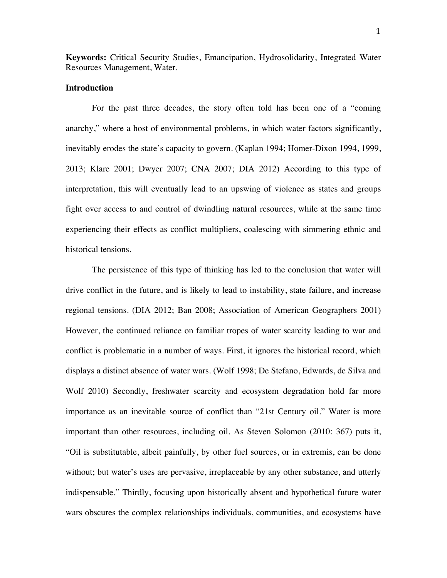**Keywords:** Critical Security Studies, Emancipation, Hydrosolidarity, Integrated Water Resources Management, Water.

### **Introduction**

For the past three decades, the story often told has been one of a "coming anarchy," where a host of environmental problems, in which water factors significantly, inevitably erodes the state's capacity to govern. (Kaplan 1994; Homer-Dixon 1994, 1999, 2013; Klare 2001; Dwyer 2007; CNA 2007; DIA 2012) According to this type of interpretation, this will eventually lead to an upswing of violence as states and groups fight over access to and control of dwindling natural resources, while at the same time experiencing their effects as conflict multipliers, coalescing with simmering ethnic and historical tensions.

The persistence of this type of thinking has led to the conclusion that water will drive conflict in the future, and is likely to lead to instability, state failure, and increase regional tensions. (DIA 2012; Ban 2008; Association of American Geographers 2001) However, the continued reliance on familiar tropes of water scarcity leading to war and conflict is problematic in a number of ways. First, it ignores the historical record, which displays a distinct absence of water wars. (Wolf 1998; De Stefano, Edwards, de Silva and Wolf 2010) Secondly, freshwater scarcity and ecosystem degradation hold far more importance as an inevitable source of conflict than "21st Century oil." Water is more important than other resources, including oil. As Steven Solomon (2010: 367) puts it, "Oil is substitutable, albeit painfully, by other fuel sources, or in extremis, can be done without; but water's uses are pervasive, irreplaceable by any other substance, and utterly indispensable." Thirdly, focusing upon historically absent and hypothetical future water wars obscures the complex relationships individuals, communities, and ecosystems have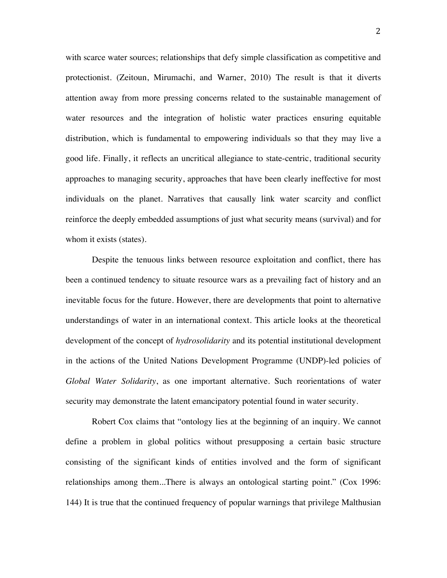with scarce water sources; relationships that defy simple classification as competitive and protectionist. (Zeitoun, Mirumachi, and Warner, 2010) The result is that it diverts attention away from more pressing concerns related to the sustainable management of water resources and the integration of holistic water practices ensuring equitable distribution, which is fundamental to empowering individuals so that they may live a good life. Finally, it reflects an uncritical allegiance to state-centric, traditional security approaches to managing security, approaches that have been clearly ineffective for most individuals on the planet. Narratives that causally link water scarcity and conflict reinforce the deeply embedded assumptions of just what security means (survival) and for whom it exists (states).

Despite the tenuous links between resource exploitation and conflict, there has been a continued tendency to situate resource wars as a prevailing fact of history and an inevitable focus for the future. However, there are developments that point to alternative understandings of water in an international context. This article looks at the theoretical development of the concept of *hydrosolidarity* and its potential institutional development in the actions of the United Nations Development Programme (UNDP)-led policies of *Global Water Solidarity*, as one important alternative. Such reorientations of water security may demonstrate the latent emancipatory potential found in water security.

Robert Cox claims that "ontology lies at the beginning of an inquiry. We cannot define a problem in global politics without presupposing a certain basic structure consisting of the significant kinds of entities involved and the form of significant relationships among them...There is always an ontological starting point." (Cox 1996: 144) It is true that the continued frequency of popular warnings that privilege Malthusian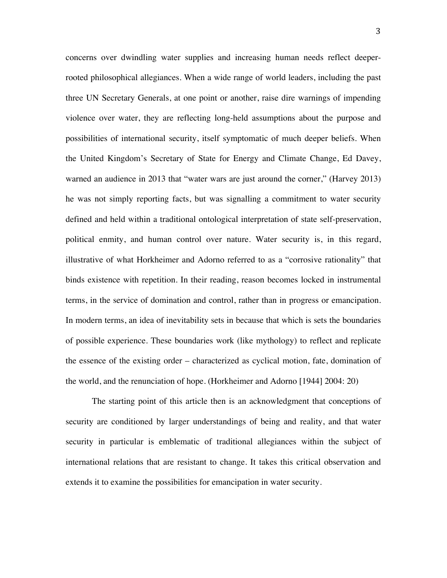concerns over dwindling water supplies and increasing human needs reflect deeperrooted philosophical allegiances. When a wide range of world leaders, including the past three UN Secretary Generals, at one point or another, raise dire warnings of impending violence over water, they are reflecting long-held assumptions about the purpose and possibilities of international security, itself symptomatic of much deeper beliefs. When the United Kingdom's Secretary of State for Energy and Climate Change, Ed Davey, warned an audience in 2013 that "water wars are just around the corner," (Harvey 2013) he was not simply reporting facts, but was signalling a commitment to water security defined and held within a traditional ontological interpretation of state self-preservation, political enmity, and human control over nature. Water security is, in this regard, illustrative of what Horkheimer and Adorno referred to as a "corrosive rationality" that binds existence with repetition. In their reading, reason becomes locked in instrumental terms, in the service of domination and control, rather than in progress or emancipation. In modern terms, an idea of inevitability sets in because that which is sets the boundaries of possible experience. These boundaries work (like mythology) to reflect and replicate the essence of the existing order – characterized as cyclical motion, fate, domination of the world, and the renunciation of hope. (Horkheimer and Adorno [1944] 2004: 20)

The starting point of this article then is an acknowledgment that conceptions of security are conditioned by larger understandings of being and reality, and that water security in particular is emblematic of traditional allegiances within the subject of international relations that are resistant to change. It takes this critical observation and extends it to examine the possibilities for emancipation in water security.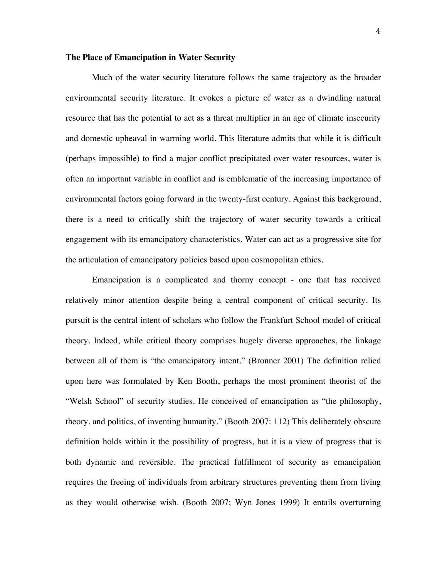#### **The Place of Emancipation in Water Security**

Much of the water security literature follows the same trajectory as the broader environmental security literature. It evokes a picture of water as a dwindling natural resource that has the potential to act as a threat multiplier in an age of climate insecurity and domestic upheaval in warming world. This literature admits that while it is difficult (perhaps impossible) to find a major conflict precipitated over water resources, water is often an important variable in conflict and is emblematic of the increasing importance of environmental factors going forward in the twenty-first century. Against this background, there is a need to critically shift the trajectory of water security towards a critical engagement with its emancipatory characteristics. Water can act as a progressive site for the articulation of emancipatory policies based upon cosmopolitan ethics.

Emancipation is a complicated and thorny concept - one that has received relatively minor attention despite being a central component of critical security. Its pursuit is the central intent of scholars who follow the Frankfurt School model of critical theory. Indeed, while critical theory comprises hugely diverse approaches, the linkage between all of them is "the emancipatory intent." (Bronner 2001) The definition relied upon here was formulated by Ken Booth, perhaps the most prominent theorist of the "Welsh School" of security studies. He conceived of emancipation as "the philosophy, theory, and politics, of inventing humanity." (Booth 2007: 112) This deliberately obscure definition holds within it the possibility of progress, but it is a view of progress that is both dynamic and reversible. The practical fulfillment of security as emancipation requires the freeing of individuals from arbitrary structures preventing them from living as they would otherwise wish. (Booth 2007; Wyn Jones 1999) It entails overturning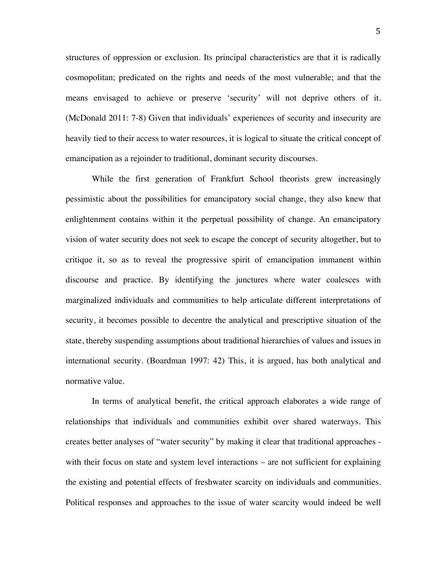structures of oppression or exclusion. Its principal characteristics are that it is radically cosmopolitan; predicated on the rights and needs of the most vulnerable; and that the means envisaged to achieve or preserve 'security' will not deprive others of it. (McDonald 2011: 7-8) Given that individuals' experiences of security and insecurity are heavily tied to their access to water resources, it is logical to situate the critical concept of emancipation as a rejoinder to traditional, dominant security discourses.

While the first generation of Frankfurt School theorists grew increasingly pessimistic about the possibilities for emancipatory social change, they also knew that enlightenment contains within it the perpetual possibility of change. An emancipatory vision of water security does not seek to escape the concept of security altogether, but to critique it, so as to reveal the progressive spirit of emancipation immanent within discourse and practice. By identifying the junctures where water coalesces with marginalized individuals and communities to help articulate different interpretations of security, it becomes possible to decentre the analytical and prescriptive situation of the state, thereby suspending assumptions about traditional hierarchies of values and issues in international security. (Boardman 1997: 42) This, it is argued, has both analytical and normative value.

In terms of analytical benefit, the critical approach elaborates a wide range of relationships that individuals and communities exhibit over shared waterways. This creates better analyses of "water security" by making it clear that traditional approaches with their focus on state and system level interactions – are not sufficient for explaining the existing and potential effects of freshwater scarcity on individuals and communities. Political responses and approaches to the issue of water scarcity would indeed be well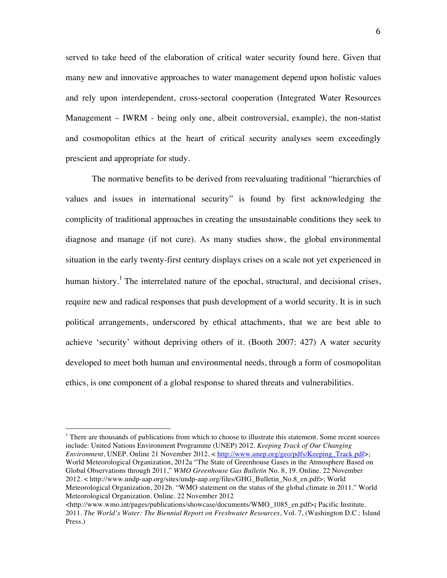served to take heed of the elaboration of critical water security found here. Given that many new and innovative approaches to water management depend upon holistic values and rely upon interdependent, cross-sectoral cooperation (Integrated Water Resources Management – IWRM - being only one, albeit controversial, example), the non-statist and cosmopolitan ethics at the heart of critical security analyses seem exceedingly prescient and appropriate for study.

The normative benefits to be derived from reevaluating traditional "hierarchies of values and issues in international security" is found by first acknowledging the complicity of traditional approaches in creating the unsustainable conditions they seek to diagnose and manage (if not cure). As many studies show, the global environmental situation in the early twenty-first century displays crises on a scale not yet experienced in human history.<sup>1</sup> The interrelated nature of the epochal, structural, and decisional crises, require new and radical responses that push development of a world security*.* It is in such political arrangements, underscored by ethical attachments, that we are best able to achieve 'security' without depriving others of it. (Booth 2007: 427) A water security developed to meet both human and environmental needs, through a form of cosmopolitan ethics, is one component of a global response to shared threats and vulnerabilities.

<sup>1</sup> There are thousands of publications from which to choose to illustrate this statement. Some recent sources include: United Nations Environment Programme (UNEP) 2012. *Keeping Track of Our Changing Environment*, UNEP. Online 21 November 2012. < http://www.unep.org/geo/pdfs/Keeping\_Track.pdf>; World Meteorological Organization, 2012a "The State of Greenhouse Gases in the Atmosphere Based on Global Observations through 2011," *WMO Greenhouse Gas Bulletin* No. 8, 19. Online. 22 November 2012. < http://www.undp-aap.org/sites/undp-aap.org/files/GHG\_Bulletin\_No.8\_en.pdf>; World Meteorological Organization, 2012b. "WMO statement on the status of the global climate in 2011." World Meteorological Organization. Online. 22 November 2012

 

<sup>&</sup>lt;http://www.wmo.int/pages/publications/showcase/documents/WMO\_1085\_en.pdf>**;** Pacific Institute. 2011. *The World's Water: The Biennial Report on Freshwater Resources*, Vol. 7, (Washington D.C.: Island Press.)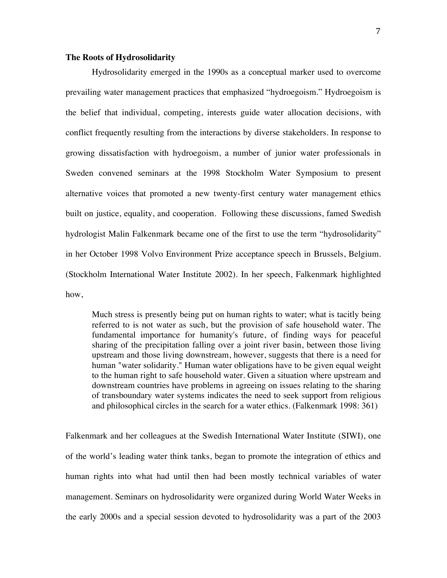### **The Roots of Hydrosolidarity**

Hydrosolidarity emerged in the 1990s as a conceptual marker used to overcome prevailing water management practices that emphasized "hydroegoism." Hydroegoism is the belief that individual, competing, interests guide water allocation decisions, with conflict frequently resulting from the interactions by diverse stakeholders. In response to growing dissatisfaction with hydroegoism, a number of junior water professionals in Sweden convened seminars at the 1998 Stockholm Water Symposium to present alternative voices that promoted a new twenty-first century water management ethics built on justice, equality, and cooperation. Following these discussions, famed Swedish hydrologist Malin Falkenmark became one of the first to use the term "hydrosolidarity" in her October 1998 Volvo Environment Prize acceptance speech in Brussels, Belgium. (Stockholm International Water Institute 2002). In her speech, Falkenmark highlighted how,

Much stress is presently being put on human rights to water; what is tacitly being referred to is not water as such, but the provision of safe household water. The fundamental importance for humanity's future, of finding ways for peaceful sharing of the precipitation falling over a joint river basin, between those living upstream and those living downstream, however, suggests that there is a need for human "water solidarity." Human water obligations have to be given equal weight to the human right to safe household water. Given a situation where upstream and downstream countries have problems in agreeing on issues relating to the sharing of transboundary water systems indicates the need to seek support from religious and philosophical circles in the search for a water ethics. (Falkenmark 1998: 361)

Falkenmark and her colleagues at the Swedish International Water Institute (SIWI), one of the world's leading water think tanks, began to promote the integration of ethics and human rights into what had until then had been mostly technical variables of water management. Seminars on hydrosolidarity were organized during World Water Weeks in the early 2000s and a special session devoted to hydrosolidarity was a part of the 2003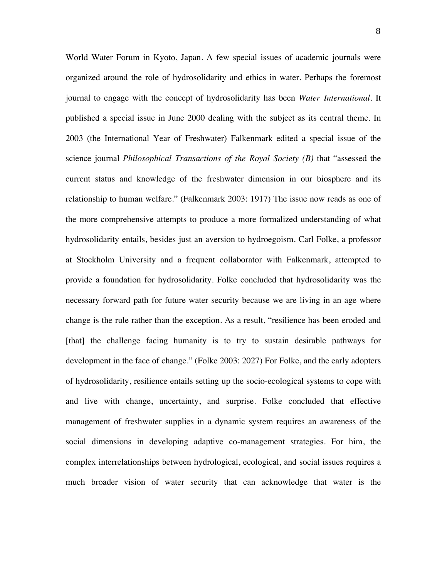World Water Forum in Kyoto, Japan. A few special issues of academic journals were organized around the role of hydrosolidarity and ethics in water. Perhaps the foremost journal to engage with the concept of hydrosolidarity has been *Water International*. It published a special issue in June 2000 dealing with the subject as its central theme. In 2003 (the International Year of Freshwater) Falkenmark edited a special issue of the science journal *Philosophical Transactions of the Royal Society (B)* that "assessed the current status and knowledge of the freshwater dimension in our biosphere and its relationship to human welfare." (Falkenmark 2003: 1917) The issue now reads as one of the more comprehensive attempts to produce a more formalized understanding of what hydrosolidarity entails, besides just an aversion to hydroegoism. Carl Folke, a professor at Stockholm University and a frequent collaborator with Falkenmark, attempted to provide a foundation for hydrosolidarity. Folke concluded that hydrosolidarity was the necessary forward path for future water security because we are living in an age where change is the rule rather than the exception. As a result, "resilience has been eroded and [that] the challenge facing humanity is to try to sustain desirable pathways for development in the face of change." (Folke 2003: 2027) For Folke, and the early adopters of hydrosolidarity, resilience entails setting up the socio-ecological systems to cope with and live with change, uncertainty, and surprise. Folke concluded that effective management of freshwater supplies in a dynamic system requires an awareness of the social dimensions in developing adaptive co-management strategies. For him, the complex interrelationships between hydrological, ecological, and social issues requires a much broader vision of water security that can acknowledge that water is the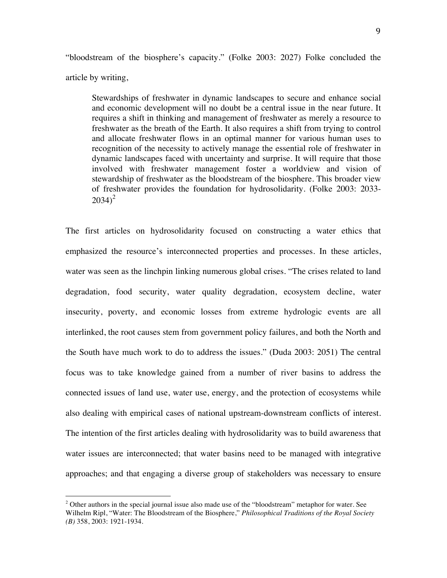"bloodstream of the biosphere's capacity." (Folke 2003: 2027) Folke concluded the article by writing,

Stewardships of freshwater in dynamic landscapes to secure and enhance social and economic development will no doubt be a central issue in the near future. It requires a shift in thinking and management of freshwater as merely a resource to freshwater as the breath of the Earth. It also requires a shift from trying to control and allocate freshwater flows in an optimal manner for various human uses to recognition of the necessity to actively manage the essential role of freshwater in dynamic landscapes faced with uncertainty and surprise. It will require that those involved with freshwater management foster a worldview and vision of stewardship of freshwater as the bloodstream of the biosphere. This broader view of freshwater provides the foundation for hydrosolidarity. (Folke 2003: 2033-  $2034)^2$ 

The first articles on hydrosolidarity focused on constructing a water ethics that emphasized the resource's interconnected properties and processes. In these articles, water was seen as the linchpin linking numerous global crises. "The crises related to land degradation, food security, water quality degradation, ecosystem decline, water insecurity, poverty, and economic losses from extreme hydrologic events are all interlinked, the root causes stem from government policy failures, and both the North and the South have much work to do to address the issues." (Duda 2003: 2051) The central focus was to take knowledge gained from a number of river basins to address the connected issues of land use, water use, energy, and the protection of ecosystems while also dealing with empirical cases of national upstream-downstream conflicts of interest. The intention of the first articles dealing with hydrosolidarity was to build awareness that water issues are interconnected; that water basins need to be managed with integrative approaches; and that engaging a diverse group of stakeholders was necessary to ensure

 

<sup>&</sup>lt;sup>2</sup> Other authors in the special journal issue also made use of the "bloodstream" metaphor for water. See Wilhelm Ripl, "Water: The Bloodstream of the Biosphere," *Philosophical Traditions of the Royal Society (B)* 358, 2003: 1921-1934.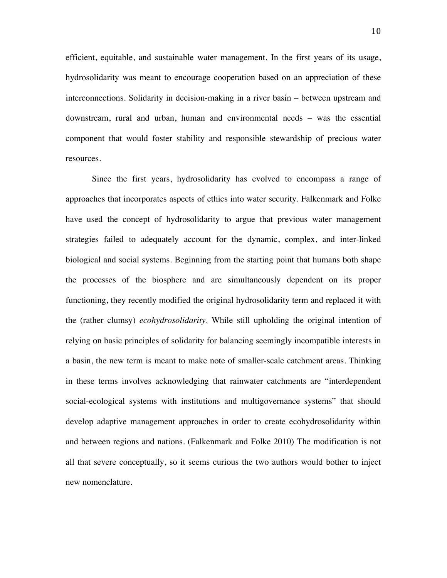efficient, equitable, and sustainable water management. In the first years of its usage, hydrosolidarity was meant to encourage cooperation based on an appreciation of these interconnections. Solidarity in decision-making in a river basin – between upstream and downstream, rural and urban, human and environmental needs – was the essential component that would foster stability and responsible stewardship of precious water resources.

Since the first years, hydrosolidarity has evolved to encompass a range of approaches that incorporates aspects of ethics into water security. Falkenmark and Folke have used the concept of hydrosolidarity to argue that previous water management strategies failed to adequately account for the dynamic, complex, and inter-linked biological and social systems. Beginning from the starting point that humans both shape the processes of the biosphere and are simultaneously dependent on its proper functioning, they recently modified the original hydrosolidarity term and replaced it with the (rather clumsy) *ecohydrosolidarity*. While still upholding the original intention of relying on basic principles of solidarity for balancing seemingly incompatible interests in a basin, the new term is meant to make note of smaller-scale catchment areas. Thinking in these terms involves acknowledging that rainwater catchments are "interdependent social-ecological systems with institutions and multigovernance systems" that should develop adaptive management approaches in order to create ecohydrosolidarity within and between regions and nations. (Falkenmark and Folke 2010) The modification is not all that severe conceptually, so it seems curious the two authors would bother to inject new nomenclature.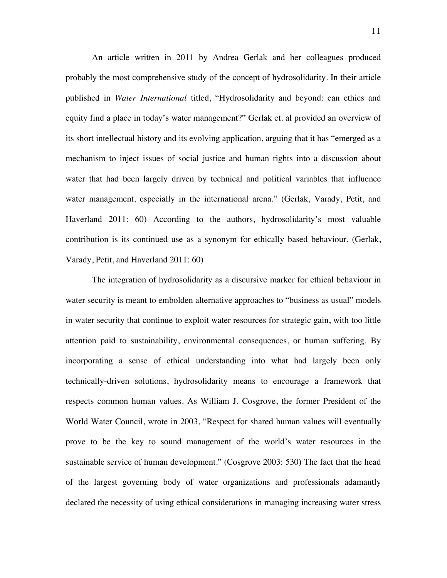An article written in 2011 by Andrea Gerlak and her colleagues produced probably the most comprehensive study of the concept of hydrosolidarity. In their article published in *Water International* titled, "Hydrosolidarity and beyond: can ethics and equity find a place in today's water management?" Gerlak et. al provided an overview of its short intellectual history and its evolving application, arguing that it has "emerged as a mechanism to inject issues of social justice and human rights into a discussion about water that had been largely driven by technical and political variables that influence water management, especially in the international arena." (Gerlak, Varady, Petit, and Haverland 2011: 60) According to the authors, hydrosolidarity's most valuable contribution is its continued use as a synonym for ethically based behaviour. (Gerlak, Varady, Petit, and Haverland 2011: 60)

The integration of hydrosolidarity as a discursive marker for ethical behaviour in water security is meant to embolden alternative approaches to "business as usual" models in water security that continue to exploit water resources for strategic gain, with too little attention paid to sustainability, environmental consequences, or human suffering. By incorporating a sense of ethical understanding into what had largely been only technically-driven solutions, hydrosolidarity means to encourage a framework that respects common human values. As William J. Cosgrove, the former President of the World Water Council, wrote in 2003, "Respect for shared human values will eventually prove to be the key to sound management of the world's water resources in the sustainable service of human development." (Cosgrove 2003: 530) The fact that the head of the largest governing body of water organizations and professionals adamantly declared the necessity of using ethical considerations in managing increasing water stress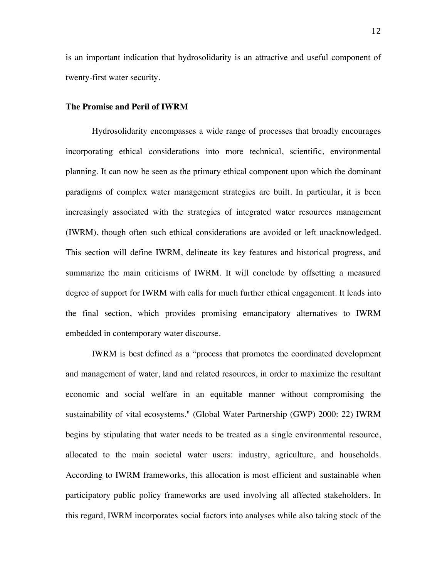is an important indication that hydrosolidarity is an attractive and useful component of twenty-first water security.

### **The Promise and Peril of IWRM**

Hydrosolidarity encompasses a wide range of processes that broadly encourages incorporating ethical considerations into more technical, scientific, environmental planning. It can now be seen as the primary ethical component upon which the dominant paradigms of complex water management strategies are built. In particular, it is been increasingly associated with the strategies of integrated water resources management (IWRM), though often such ethical considerations are avoided or left unacknowledged. This section will define IWRM, delineate its key features and historical progress, and summarize the main criticisms of IWRM. It will conclude by offsetting a measured degree of support for IWRM with calls for much further ethical engagement. It leads into the final section, which provides promising emancipatory alternatives to IWRM embedded in contemporary water discourse.

IWRM is best defined as a "process that promotes the coordinated development and management of water, land and related resources, in order to maximize the resultant economic and social welfare in an equitable manner without compromising the sustainability of vital ecosystems." (Global Water Partnership (GWP) 2000: 22) IWRM begins by stipulating that water needs to be treated as a single environmental resource, allocated to the main societal water users: industry, agriculture, and households. According to IWRM frameworks, this allocation is most efficient and sustainable when participatory public policy frameworks are used involving all affected stakeholders. In this regard, IWRM incorporates social factors into analyses while also taking stock of the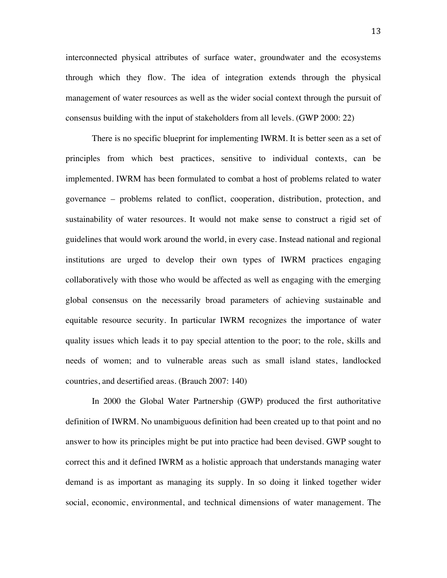interconnected physical attributes of surface water, groundwater and the ecosystems through which they flow. The idea of integration extends through the physical management of water resources as well as the wider social context through the pursuit of consensus building with the input of stakeholders from all levels. (GWP 2000: 22)

There is no specific blueprint for implementing IWRM. It is better seen as a set of principles from which best practices, sensitive to individual contexts, can be implemented. IWRM has been formulated to combat a host of problems related to water governance – problems related to conflict, cooperation, distribution, protection, and sustainability of water resources. It would not make sense to construct a rigid set of guidelines that would work around the world, in every case. Instead national and regional institutions are urged to develop their own types of IWRM practices engaging collaboratively with those who would be affected as well as engaging with the emerging global consensus on the necessarily broad parameters of achieving sustainable and equitable resource security. In particular IWRM recognizes the importance of water quality issues which leads it to pay special attention to the poor; to the role, skills and needs of women; and to vulnerable areas such as small island states, landlocked countries, and desertified areas. (Brauch 2007: 140)

In 2000 the Global Water Partnership (GWP) produced the first authoritative definition of IWRM. No unambiguous definition had been created up to that point and no answer to how its principles might be put into practice had been devised. GWP sought to correct this and it defined IWRM as a holistic approach that understands managing water demand is as important as managing its supply. In so doing it linked together wider social, economic, environmental, and technical dimensions of water management. The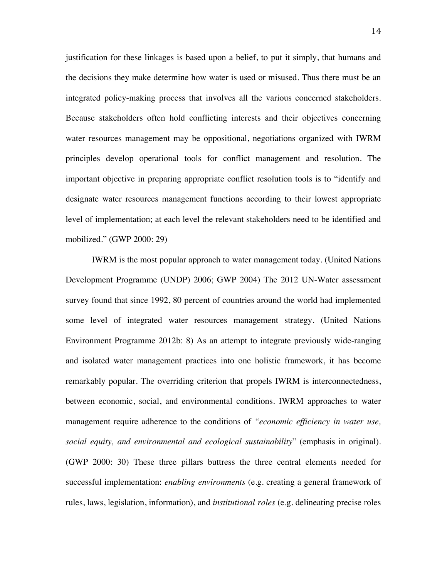justification for these linkages is based upon a belief, to put it simply, that humans and the decisions they make determine how water is used or misused. Thus there must be an integrated policy-making process that involves all the various concerned stakeholders. Because stakeholders often hold conflicting interests and their objectives concerning water resources management may be oppositional, negotiations organized with IWRM principles develop operational tools for conflict management and resolution. The important objective in preparing appropriate conflict resolution tools is to "identify and designate water resources management functions according to their lowest appropriate level of implementation; at each level the relevant stakeholders need to be identified and mobilized." (GWP 2000: 29)

IWRM is the most popular approach to water management today. (United Nations Development Programme (UNDP) 2006; GWP 2004) The 2012 UN-Water assessment survey found that since 1992, 80 percent of countries around the world had implemented some level of integrated water resources management strategy. (United Nations Environment Programme 2012b: 8) As an attempt to integrate previously wide-ranging and isolated water management practices into one holistic framework, it has become remarkably popular. The overriding criterion that propels IWRM is interconnectedness, between economic, social, and environmental conditions. IWRM approaches to water management require adherence to the conditions of *"economic efficiency in water use, social equity, and environmental and ecological sustainability*" (emphasis in original). (GWP 2000: 30) These three pillars buttress the three central elements needed for successful implementation: *enabling environments* (e.g. creating a general framework of rules, laws, legislation, information), and *institutional roles* (e.g. delineating precise roles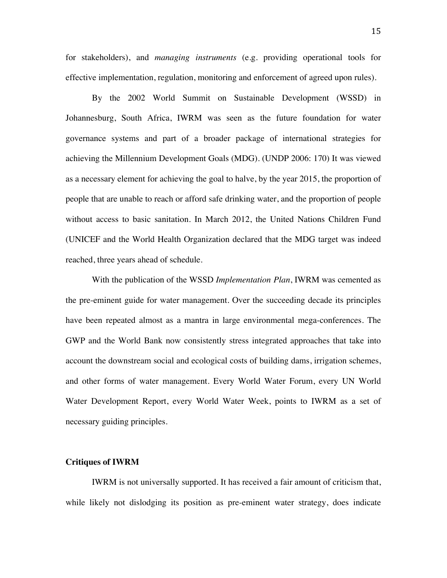for stakeholders), and *managing instruments* (e.g. providing operational tools for effective implementation, regulation, monitoring and enforcement of agreed upon rules).

By the 2002 World Summit on Sustainable Development (WSSD) in Johannesburg, South Africa, IWRM was seen as the future foundation for water governance systems and part of a broader package of international strategies for achieving the Millennium Development Goals (MDG). (UNDP 2006: 170) It was viewed as a necessary element for achieving the goal to halve, by the year 2015, the proportion of people that are unable to reach or afford safe drinking water, and the proportion of people without access to basic sanitation. In March 2012, the United Nations Children Fund (UNICEF and the World Health Organization declared that the MDG target was indeed reached, three years ahead of schedule.

With the publication of the WSSD *Implementation Plan*, IWRM was cemented as the pre-eminent guide for water management. Over the succeeding decade its principles have been repeated almost as a mantra in large environmental mega-conferences. The GWP and the World Bank now consistently stress integrated approaches that take into account the downstream social and ecological costs of building dams, irrigation schemes, and other forms of water management. Every World Water Forum, every UN World Water Development Report, every World Water Week, points to IWRM as a set of necessary guiding principles.

### **Critiques of IWRM**

IWRM is not universally supported. It has received a fair amount of criticism that, while likely not dislodging its position as pre-eminent water strategy, does indicate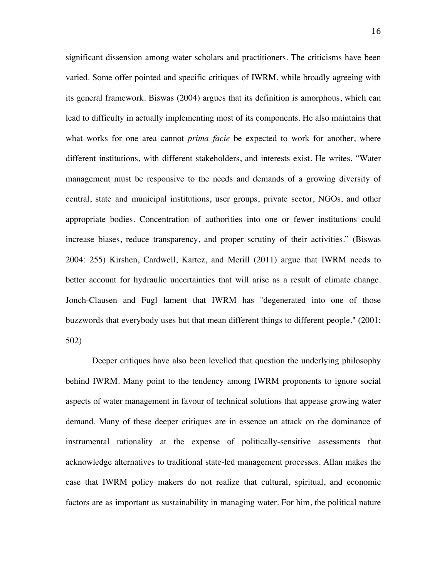significant dissension among water scholars and practitioners. The criticisms have been varied. Some offer pointed and specific critiques of IWRM, while broadly agreeing with its general framework. Biswas (2004) argues that its definition is amorphous, which can lead to difficulty in actually implementing most of its components. He also maintains that what works for one area cannot *prima facie* be expected to work for another, where different institutions, with different stakeholders, and interests exist. He writes, "Water management must be responsive to the needs and demands of a growing diversity of central, state and municipal institutions, user groups, private sector, NGOs, and other appropriate bodies. Concentration of authorities into one or fewer institutions could increase biases, reduce transparency, and proper scrutiny of their activities." (Biswas 2004: 255) Kirshen, Cardwell, Kartez, and Merill (2011) argue that IWRM needs to better account for hydraulic uncertainties that will arise as a result of climate change. Jonch-Clausen and Fugl lament that IWRM has "degenerated into one of those buzzwords that everybody uses but that mean different things to different people." (2001: 502)

Deeper critiques have also been levelled that question the underlying philosophy behind IWRM. Many point to the tendency among IWRM proponents to ignore social aspects of water management in favour of technical solutions that appease growing water demand. Many of these deeper critiques are in essence an attack on the dominance of instrumental rationality at the expense of politically-sensitive assessments that acknowledge alternatives to traditional state-led management processes. Allan makes the case that IWRM policy makers do not realize that cultural, spiritual, and economic factors are as important as sustainability in managing water. For him, the political nature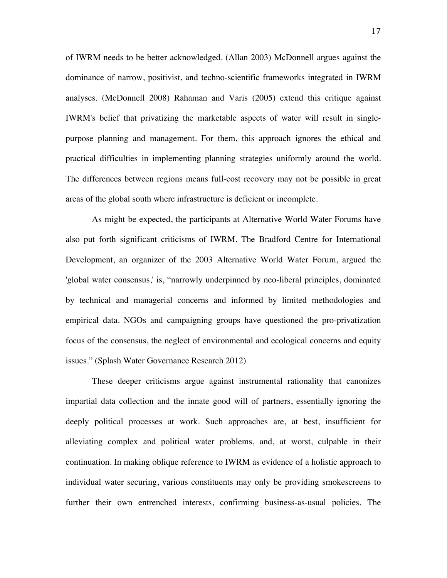of IWRM needs to be better acknowledged. (Allan 2003) McDonnell argues against the dominance of narrow, positivist, and techno-scientific frameworks integrated in IWRM analyses. (McDonnell 2008) Rahaman and Varis (2005) extend this critique against IWRM's belief that privatizing the marketable aspects of water will result in singlepurpose planning and management. For them, this approach ignores the ethical and practical difficulties in implementing planning strategies uniformly around the world. The differences between regions means full-cost recovery may not be possible in great areas of the global south where infrastructure is deficient or incomplete.

As might be expected, the participants at Alternative World Water Forums have also put forth significant criticisms of IWRM. The Bradford Centre for International Development, an organizer of the 2003 Alternative World Water Forum, argued the 'global water consensus,' is, "narrowly underpinned by neo-liberal principles, dominated by technical and managerial concerns and informed by limited methodologies and empirical data. NGOs and campaigning groups have questioned the pro-privatization focus of the consensus, the neglect of environmental and ecological concerns and equity issues." (Splash Water Governance Research 2012)

These deeper criticisms argue against instrumental rationality that canonizes impartial data collection and the innate good will of partners, essentially ignoring the deeply political processes at work. Such approaches are, at best, insufficient for alleviating complex and political water problems, and, at worst, culpable in their continuation. In making oblique reference to IWRM as evidence of a holistic approach to individual water securing, various constituents may only be providing smokescreens to further their own entrenched interests, confirming business-as-usual policies. The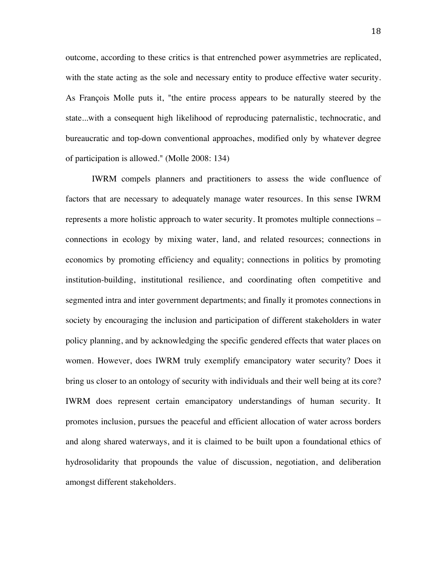outcome, according to these critics is that entrenched power asymmetries are replicated, with the state acting as the sole and necessary entity to produce effective water security. As François Molle puts it, "the entire process appears to be naturally steered by the state...with a consequent high likelihood of reproducing paternalistic, technocratic, and bureaucratic and top-down conventional approaches, modified only by whatever degree of participation is allowed." (Molle 2008: 134)

IWRM compels planners and practitioners to assess the wide confluence of factors that are necessary to adequately manage water resources. In this sense IWRM represents a more holistic approach to water security. It promotes multiple connections – connections in ecology by mixing water, land, and related resources; connections in economics by promoting efficiency and equality; connections in politics by promoting institution-building, institutional resilience, and coordinating often competitive and segmented intra and inter government departments; and finally it promotes connections in society by encouraging the inclusion and participation of different stakeholders in water policy planning, and by acknowledging the specific gendered effects that water places on women. However, does IWRM truly exemplify emancipatory water security? Does it bring us closer to an ontology of security with individuals and their well being at its core? IWRM does represent certain emancipatory understandings of human security. It promotes inclusion, pursues the peaceful and efficient allocation of water across borders and along shared waterways, and it is claimed to be built upon a foundational ethics of hydrosolidarity that propounds the value of discussion, negotiation, and deliberation amongst different stakeholders.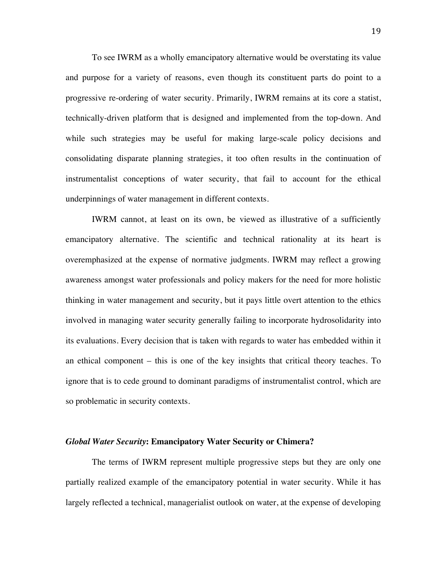To see IWRM as a wholly emancipatory alternative would be overstating its value and purpose for a variety of reasons, even though its constituent parts do point to a progressive re-ordering of water security. Primarily, IWRM remains at its core a statist, technically-driven platform that is designed and implemented from the top-down. And while such strategies may be useful for making large-scale policy decisions and consolidating disparate planning strategies, it too often results in the continuation of instrumentalist conceptions of water security, that fail to account for the ethical underpinnings of water management in different contexts.

IWRM cannot, at least on its own, be viewed as illustrative of a sufficiently emancipatory alternative. The scientific and technical rationality at its heart is overemphasized at the expense of normative judgments. IWRM may reflect a growing awareness amongst water professionals and policy makers for the need for more holistic thinking in water management and security, but it pays little overt attention to the ethics involved in managing water security generally failing to incorporate hydrosolidarity into its evaluations. Every decision that is taken with regards to water has embedded within it an ethical component – this is one of the key insights that critical theory teaches. To ignore that is to cede ground to dominant paradigms of instrumentalist control, which are so problematic in security contexts.

#### *Global Water Security***: Emancipatory Water Security or Chimera?**

The terms of IWRM represent multiple progressive steps but they are only one partially realized example of the emancipatory potential in water security. While it has largely reflected a technical, managerialist outlook on water, at the expense of developing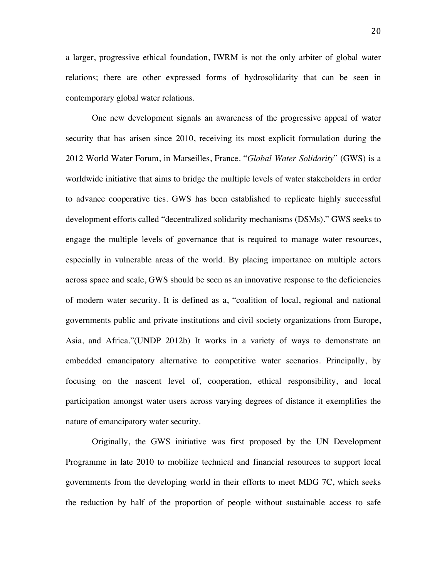a larger, progressive ethical foundation, IWRM is not the only arbiter of global water relations; there are other expressed forms of hydrosolidarity that can be seen in contemporary global water relations.

One new development signals an awareness of the progressive appeal of water security that has arisen since 2010, receiving its most explicit formulation during the 2012 World Water Forum, in Marseilles, France. "*Global Water Solidarity*" (GWS) is a worldwide initiative that aims to bridge the multiple levels of water stakeholders in order to advance cooperative ties. GWS has been established to replicate highly successful development efforts called "decentralized solidarity mechanisms (DSMs)." GWS seeks to engage the multiple levels of governance that is required to manage water resources, especially in vulnerable areas of the world. By placing importance on multiple actors across space and scale, GWS should be seen as an innovative response to the deficiencies of modern water security. It is defined as a, "coalition of local, regional and national governments public and private institutions and civil society organizations from Europe, Asia, and Africa."(UNDP 2012b) It works in a variety of ways to demonstrate an embedded emancipatory alternative to competitive water scenarios. Principally, by focusing on the nascent level of, cooperation, ethical responsibility, and local participation amongst water users across varying degrees of distance it exemplifies the nature of emancipatory water security.

Originally, the GWS initiative was first proposed by the UN Development Programme in late 2010 to mobilize technical and financial resources to support local governments from the developing world in their efforts to meet MDG 7C, which seeks the reduction by half of the proportion of people without sustainable access to safe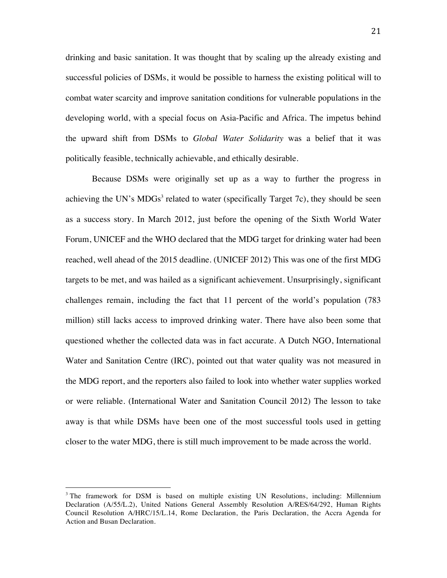drinking and basic sanitation. It was thought that by scaling up the already existing and successful policies of DSMs, it would be possible to harness the existing political will to combat water scarcity and improve sanitation conditions for vulnerable populations in the developing world, with a special focus on Asia-Pacific and Africa. The impetus behind the upward shift from DSMs to *Global Water Solidarity* was a belief that it was politically feasible, technically achievable, and ethically desirable.

Because DSMs were originally set up as a way to further the progress in achieving the UN's  $MDGs^3$  related to water (specifically Target 7c), they should be seen as a success story. In March 2012, just before the opening of the Sixth World Water Forum, UNICEF and the WHO declared that the MDG target for drinking water had been reached, well ahead of the 2015 deadline. (UNICEF 2012) This was one of the first MDG targets to be met, and was hailed as a significant achievement. Unsurprisingly, significant challenges remain, including the fact that 11 percent of the world's population (783 million) still lacks access to improved drinking water. There have also been some that questioned whether the collected data was in fact accurate. A Dutch NGO, International Water and Sanitation Centre (IRC), pointed out that water quality was not measured in the MDG report, and the reporters also failed to look into whether water supplies worked or were reliable. (International Water and Sanitation Council 2012) The lesson to take away is that while DSMs have been one of the most successful tools used in getting closer to the water MDG, there is still much improvement to be made across the world.

 

 $3$  The framework for DSM is based on multiple existing UN Resolutions, including: Millennium Declaration (A/55/L.2), United Nations General Assembly Resolution A/RES/64/292, Human Rights Council Resolution A/HRC/15/L.14, Rome Declaration, the Paris Declaration, the Accra Agenda for Action and Busan Declaration.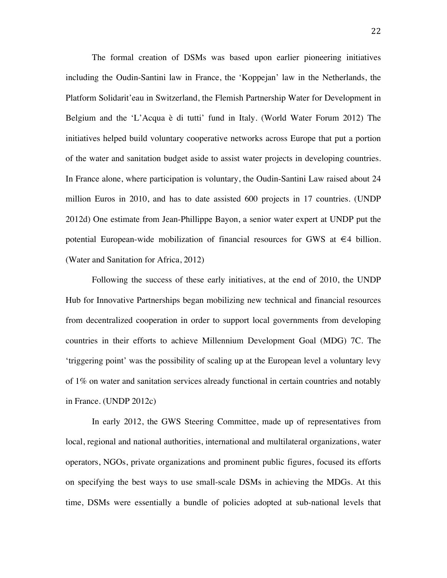The formal creation of DSMs was based upon earlier pioneering initiatives including the Oudin-Santini law in France, the 'Koppejan' law in the Netherlands, the Platform Solidarit'eau in Switzerland, the Flemish Partnership Water for Development in Belgium and the 'L'Acqua è di tutti' fund in Italy. (World Water Forum 2012) The initiatives helped build voluntary cooperative networks across Europe that put a portion of the water and sanitation budget aside to assist water projects in developing countries. In France alone, where participation is voluntary, the Oudin-Santini Law raised about 24 million Euros in 2010, and has to date assisted 600 projects in 17 countries. (UNDP 2012d) One estimate from Jean-Phillippe Bayon, a senior water expert at UNDP put the potential European-wide mobilization of financial resources for GWS at  $\in$ 4 billion. (Water and Sanitation for Africa, 2012)

Following the success of these early initiatives, at the end of 2010, the UNDP Hub for Innovative Partnerships began mobilizing new technical and financial resources from decentralized cooperation in order to support local governments from developing countries in their efforts to achieve Millennium Development Goal (MDG) 7C. The 'triggering point' was the possibility of scaling up at the European level a voluntary levy of 1% on water and sanitation services already functional in certain countries and notably in France. (UNDP 2012c)

In early 2012, the GWS Steering Committee, made up of representatives from local, regional and national authorities, international and multilateral organizations, water operators, NGOs, private organizations and prominent public figures, focused its efforts on specifying the best ways to use small-scale DSMs in achieving the MDGs. At this time, DSMs were essentially a bundle of policies adopted at sub-national levels that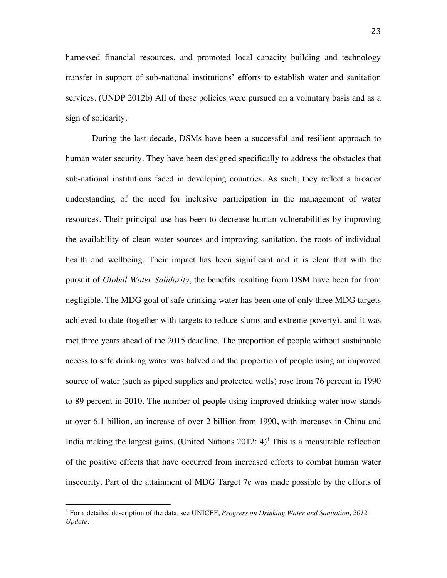harnessed financial resources, and promoted local capacity building and technology transfer in support of sub-national institutions' efforts to establish water and sanitation services. (UNDP 2012b) All of these policies were pursued on a voluntary basis and as a sign of solidarity.

During the last decade, DSMs have been a successful and resilient approach to human water security. They have been designed specifically to address the obstacles that sub-national institutions faced in developing countries. As such, they reflect a broader understanding of the need for inclusive participation in the management of water resources. Their principal use has been to decrease human vulnerabilities by improving the availability of clean water sources and improving sanitation, the roots of individual health and wellbeing. Their impact has been significant and it is clear that with the pursuit of *Global Water Solidarity*, the benefits resulting from DSM have been far from negligible. The MDG goal of safe drinking water has been one of only three MDG targets achieved to date (together with targets to reduce slums and extreme poverty), and it was met three years ahead of the 2015 deadline. The proportion of people without sustainable access to safe drinking water was halved and the proportion of people using an improved source of water (such as piped supplies and protected wells) rose from 76 percent in 1990 to 89 percent in 2010. The number of people using improved drinking water now stands at over 6.1 billion, an increase of over 2 billion from 1990, with increases in China and India making the largest gains. (United Nations  $2012: 4$ <sup>4</sup> This is a measurable reflection of the positive effects that have occurred from increased efforts to combat human water insecurity. Part of the attainment of MDG Target 7c was made possible by the efforts of

 

<sup>4</sup> For a detailed description of the data, see UNICEF, *Progress on Drinking Water and Sanitation, 2012 Update*.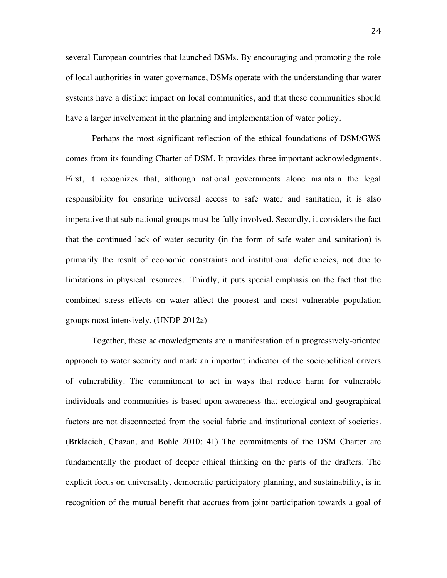several European countries that launched DSMs. By encouraging and promoting the role of local authorities in water governance, DSMs operate with the understanding that water systems have a distinct impact on local communities, and that these communities should have a larger involvement in the planning and implementation of water policy.

Perhaps the most significant reflection of the ethical foundations of DSM/GWS comes from its founding Charter of DSM. It provides three important acknowledgments. First, it recognizes that, although national governments alone maintain the legal responsibility for ensuring universal access to safe water and sanitation, it is also imperative that sub-national groups must be fully involved. Secondly, it considers the fact that the continued lack of water security (in the form of safe water and sanitation) is primarily the result of economic constraints and institutional deficiencies, not due to limitations in physical resources. Thirdly, it puts special emphasis on the fact that the combined stress effects on water affect the poorest and most vulnerable population groups most intensively. (UNDP 2012a)

Together, these acknowledgments are a manifestation of a progressively-oriented approach to water security and mark an important indicator of the sociopolitical drivers of vulnerability. The commitment to act in ways that reduce harm for vulnerable individuals and communities is based upon awareness that ecological and geographical factors are not disconnected from the social fabric and institutional context of societies. (Brklacich, Chazan, and Bohle 2010: 41) The commitments of the DSM Charter are fundamentally the product of deeper ethical thinking on the parts of the drafters. The explicit focus on universality, democratic participatory planning, and sustainability, is in recognition of the mutual benefit that accrues from joint participation towards a goal of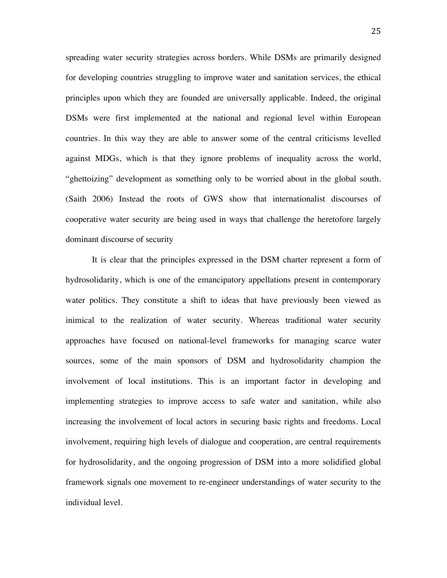spreading water security strategies across borders. While DSMs are primarily designed for developing countries struggling to improve water and sanitation services, the ethical principles upon which they are founded are universally applicable. Indeed, the original DSMs were first implemented at the national and regional level within European countries. In this way they are able to answer some of the central criticisms levelled against MDGs, which is that they ignore problems of inequality across the world, "ghettoizing" development as something only to be worried about in the global south. (Saith 2006) Instead the roots of GWS show that internationalist discourses of cooperative water security are being used in ways that challenge the heretofore largely dominant discourse of security

It is clear that the principles expressed in the DSM charter represent a form of hydrosolidarity, which is one of the emancipatory appellations present in contemporary water politics. They constitute a shift to ideas that have previously been viewed as inimical to the realization of water security. Whereas traditional water security approaches have focused on national-level frameworks for managing scarce water sources, some of the main sponsors of DSM and hydrosolidarity champion the involvement of local institutions. This is an important factor in developing and implementing strategies to improve access to safe water and sanitation, while also increasing the involvement of local actors in securing basic rights and freedoms. Local involvement, requiring high levels of dialogue and cooperation, are central requirements for hydrosolidarity, and the ongoing progression of DSM into a more solidified global framework signals one movement to re-engineer understandings of water security to the individual level.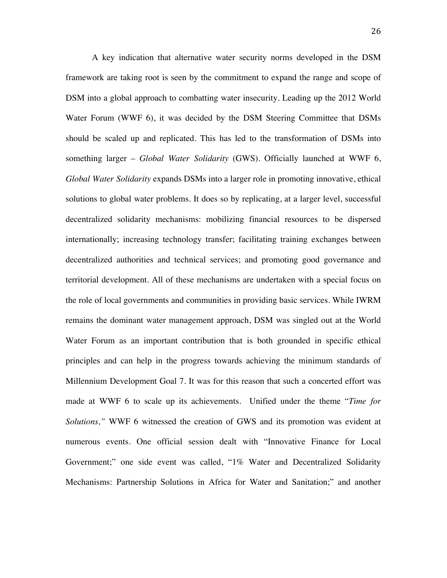A key indication that alternative water security norms developed in the DSM framework are taking root is seen by the commitment to expand the range and scope of DSM into a global approach to combatting water insecurity. Leading up the 2012 World Water Forum (WWF 6), it was decided by the DSM Steering Committee that DSMs should be scaled up and replicated. This has led to the transformation of DSMs into something larger – *Global Water Solidarity* (GWS). Officially launched at WWF 6, *Global Water Solidarity* expands DSMs into a larger role in promoting innovative, ethical solutions to global water problems. It does so by replicating, at a larger level, successful decentralized solidarity mechanisms: mobilizing financial resources to be dispersed internationally; increasing technology transfer; facilitating training exchanges between decentralized authorities and technical services; and promoting good governance and territorial development. All of these mechanisms are undertaken with a special focus on the role of local governments and communities in providing basic services. While IWRM remains the dominant water management approach, DSM was singled out at the World Water Forum as an important contribution that is both grounded in specific ethical principles and can help in the progress towards achieving the minimum standards of Millennium Development Goal 7. It was for this reason that such a concerted effort was made at WWF 6 to scale up its achievements. Unified under the theme "*Time for Solutions,"* WWF 6 witnessed the creation of GWS and its promotion was evident at numerous events. One official session dealt with "Innovative Finance for Local Government;" one side event was called, "1% Water and Decentralized Solidarity Mechanisms: Partnership Solutions in Africa for Water and Sanitation;" and another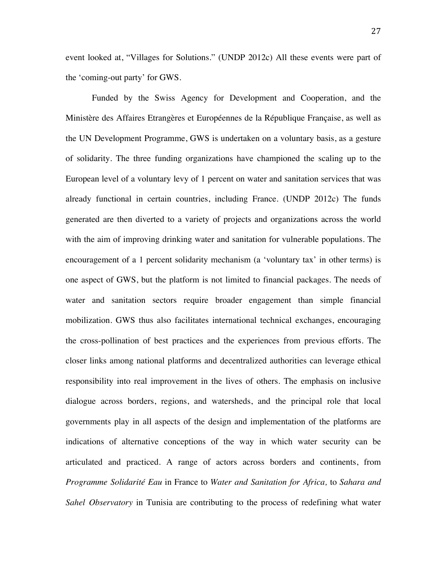event looked at, "Villages for Solutions." (UNDP 2012c) All these events were part of the 'coming-out party' for GWS.

Funded by the Swiss Agency for Development and Cooperation, and the Ministère des Affaires Etrangères et Européennes de la République Française, as well as the UN Development Programme, GWS is undertaken on a voluntary basis, as a gesture of solidarity. The three funding organizations have championed the scaling up to the European level of a voluntary levy of 1 percent on water and sanitation services that was already functional in certain countries, including France. (UNDP 2012c) The funds generated are then diverted to a variety of projects and organizations across the world with the aim of improving drinking water and sanitation for vulnerable populations. The encouragement of a 1 percent solidarity mechanism (a 'voluntary tax' in other terms) is one aspect of GWS, but the platform is not limited to financial packages. The needs of water and sanitation sectors require broader engagement than simple financial mobilization. GWS thus also facilitates international technical exchanges, encouraging the cross-pollination of best practices and the experiences from previous efforts. The closer links among national platforms and decentralized authorities can leverage ethical responsibility into real improvement in the lives of others. The emphasis on inclusive dialogue across borders, regions, and watersheds, and the principal role that local governments play in all aspects of the design and implementation of the platforms are indications of alternative conceptions of the way in which water security can be articulated and practiced. A range of actors across borders and continents, from *Programme Solidarité Eau* in France to *Water and Sanitation for Africa,* to *Sahara and Sahel Observatory* in Tunisia are contributing to the process of redefining what water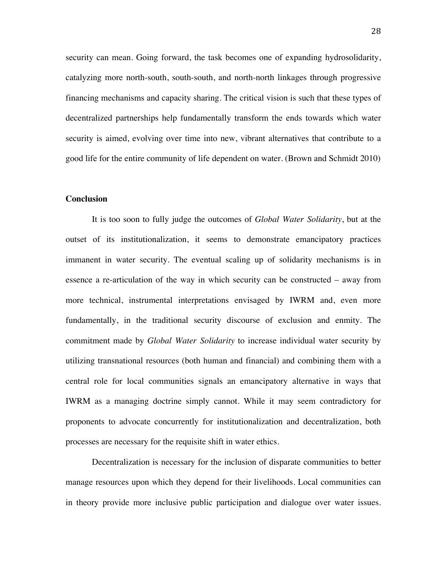security can mean. Going forward, the task becomes one of expanding hydrosolidarity, catalyzing more north-south, south-south, and north-north linkages through progressive financing mechanisms and capacity sharing. The critical vision is such that these types of decentralized partnerships help fundamentally transform the ends towards which water security is aimed, evolving over time into new, vibrant alternatives that contribute to a good life for the entire community of life dependent on water. (Brown and Schmidt 2010)

### **Conclusion**

It is too soon to fully judge the outcomes of *Global Water Solidarity*, but at the outset of its institutionalization, it seems to demonstrate emancipatory practices immanent in water security. The eventual scaling up of solidarity mechanisms is in essence a re-articulation of the way in which security can be constructed – away from more technical, instrumental interpretations envisaged by IWRM and, even more fundamentally, in the traditional security discourse of exclusion and enmity. The commitment made by *Global Water Solidarity* to increase individual water security by utilizing transnational resources (both human and financial) and combining them with a central role for local communities signals an emancipatory alternative in ways that IWRM as a managing doctrine simply cannot. While it may seem contradictory for proponents to advocate concurrently for institutionalization and decentralization, both processes are necessary for the requisite shift in water ethics.

Decentralization is necessary for the inclusion of disparate communities to better manage resources upon which they depend for their livelihoods. Local communities can in theory provide more inclusive public participation and dialogue over water issues.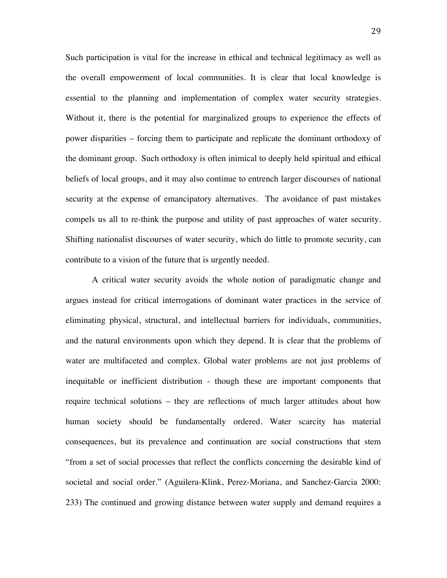Such participation is vital for the increase in ethical and technical legitimacy as well as the overall empowerment of local communities. It is clear that local knowledge is essential to the planning and implementation of complex water security strategies. Without it, there is the potential for marginalized groups to experience the effects of power disparities – forcing them to participate and replicate the dominant orthodoxy of the dominant group. Such orthodoxy is often inimical to deeply held spiritual and ethical beliefs of local groups, and it may also continue to entrench larger discourses of national security at the expense of emancipatory alternatives. The avoidance of past mistakes compels us all to re-think the purpose and utility of past approaches of water security. Shifting nationalist discourses of water security, which do little to promote security, can contribute to a vision of the future that is urgently needed.

A critical water security avoids the whole notion of paradigmatic change and argues instead for critical interrogations of dominant water practices in the service of eliminating physical, structural, and intellectual barriers for individuals, communities, and the natural environments upon which they depend. It is clear that the problems of water are multifaceted and complex. Global water problems are not just problems of inequitable or inefficient distribution - though these are important components that require technical solutions – they are reflections of much larger attitudes about how human society should be fundamentally ordered. Water scarcity has material consequences, but its prevalence and continuation are social constructions that stem "from a set of social processes that reflect the conflicts concerning the desirable kind of societal and social order." (Aguilera-Klink, Perez-Moriana, and Sanchez-Garcia 2000: 233) The continued and growing distance between water supply and demand requires a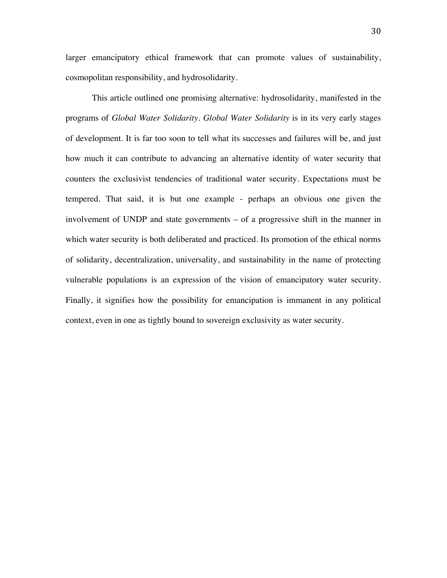larger emancipatory ethical framework that can promote values of sustainability, cosmopolitan responsibility, and hydrosolidarity.

This article outlined one promising alternative: hydrosolidarity, manifested in the programs of *Global Water Solidarity. Global Water Solidarity* is in its very early stages of development. It is far too soon to tell what its successes and failures will be, and just how much it can contribute to advancing an alternative identity of water security that counters the exclusivist tendencies of traditional water security. Expectations must be tempered. That said, it is but one example - perhaps an obvious one given the involvement of UNDP and state governments – of a progressive shift in the manner in which water security is both deliberated and practiced. Its promotion of the ethical norms of solidarity, decentralization, universality, and sustainability in the name of protecting vulnerable populations is an expression of the vision of emancipatory water security. Finally, it signifies how the possibility for emancipation is immanent in any political context, even in one as tightly bound to sovereign exclusivity as water security.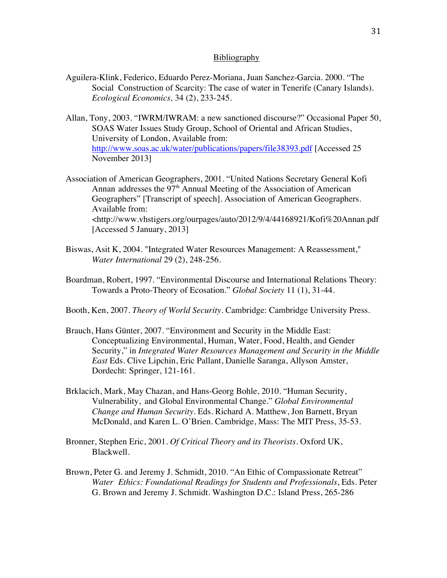#### **Bibliography**

- Aguilera-Klink, Federico, Eduardo Perez-Moriana, Juan Sanchez-Garcia. 2000. "The Social Construction of Scarcity: The case of water in Tenerife (Canary Islands). *Ecological Economics,* 34 (2), 233-245.
- Allan, Tony, 2003. "IWRM/IWRAM: a new sanctioned discourse?" Occasional Paper 50, SOAS Water Issues Study Group, School of Oriental and African Studies, University of London, Available from: http://www.soas.ac.uk/water/publications/papers/file38393.pdf [Accessed 25 November 2013]
- Association of American Geographers, 2001. "United Nations Secretary General Kofi Annan addresses the  $97<sup>th</sup>$  Annual Meeting of the Association of American Geographers" [Transcript of speech]. Association of American Geographers. Available from: <http://www.vhstigers.org/ourpages/auto/2012/9/4/44168921/Kofi%20Annan.pdf [Accessed 5 January, 2013]
- Biswas, Asit K, 2004. "Integrated Water Resources Management: A Reassessment," *Water International* 29 (2), 248-256.
- Boardman, Robert, 1997. "Environmental Discourse and International Relations Theory: Towards a Proto-Theory of Ecosation." *Global Society* 11 (1), 31-44.

Booth, Ken, 2007. *Theory of World Security.* Cambridge: Cambridge University Press.

- Brauch, Hans Günter, 2007. "Environment and Security in the Middle East: Conceptualizing Environmental, Human, Water, Food, Health, and Gender Security," in *Integrated Water Resources Management and Security in the Middle East* Eds. Clive Lipchin, Eric Pallant, Danielle Saranga, Allyson Amster, Dordecht: Springer, 121-161.
- Brklacich, Mark, May Chazan, and Hans-Georg Bohle, 2010. "Human Security, Vulnerability, and Global Environmental Change." *Global Environmental Change and Human Security*. Eds. Richard A. Matthew, Jon Barnett, Bryan McDonald, and Karen L. O'Brien. Cambridge, Mass: The MIT Press, 35-53.
- Bronner, Stephen Eric, 2001. *Of Critical Theory and its Theorists*. Oxford UK, Blackwell.
- Brown, Peter G. and Jeremy J. Schmidt, 2010. "An Ethic of Compassionate Retreat" *Water Ethics: Foundational Readings for Students and Professionals*, Eds. Peter G. Brown and Jeremy J. Schmidt. Washington D.C.: Island Press, 265-286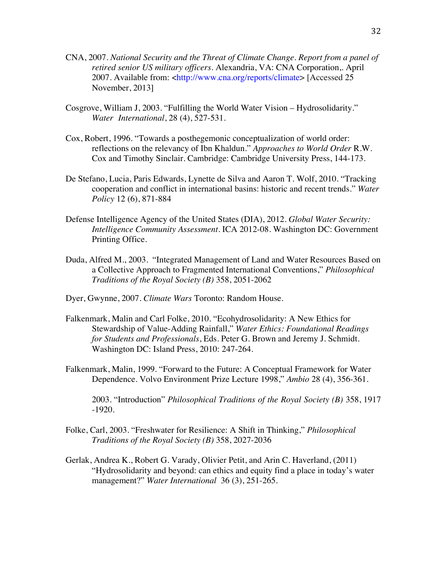- CNA, 2007. *National Security and the Threat of Climate Change. Report from a panel of retired senior US military officers*. Alexandria, VA: CNA Corporation,. April 2007. Available from: <http://www.cna.org/reports/climate> [Accessed 25] November, 2013]
- Cosgrove, William J, 2003. "Fulfilling the World Water Vision Hydrosolidarity." *Water International*, 28 (4), 527-531.
- Cox, Robert, 1996. "Towards a posthegemonic conceptualization of world order: reflections on the relevancy of Ibn Khaldun." *Approaches to World Order* R.W. Cox and Timothy Sinclair. Cambridge: Cambridge University Press, 144-173.
- De Stefano, Lucia, Paris Edwards, Lynette de Silva and Aaron T. Wolf, 2010. "Tracking cooperation and conflict in international basins: historic and recent trends." *Water Policy* 12 (6), 871-884
- Defense Intelligence Agency of the United States (DIA), 2012. *Global Water Security: Intelligence Community Assessment*. ICA 2012-08. Washington DC: Government Printing Office.
- Duda, Alfred M., 2003. "Integrated Management of Land and Water Resources Based on a Collective Approach to Fragmented International Conventions," *Philosophical Traditions of the Royal Society (B)* 358, 2051-2062
- Dyer, Gwynne, 2007. *Climate Wars* Toronto: Random House.
- Falkenmark, Malin and Carl Folke, 2010. "Ecohydrosolidarity: A New Ethics for Stewardship of Value-Adding Rainfall," *Water Ethics: Foundational Readings for Students and Professionals*, Eds. Peter G. Brown and Jeremy J. Schmidt. Washington DC: Island Press, 2010: 247-264.
- Falkenmark, Malin, 1999. "Forward to the Future: A Conceptual Framework for Water Dependence. Volvo Environment Prize Lecture 1998," *Ambio* 28 (4), 356-361.

2003. "Introduction" *Philosophical Traditions of the Royal Society (B)* 358, 1917 -1920.

- Folke, Carl, 2003. "Freshwater for Resilience: A Shift in Thinking," *Philosophical Traditions of the Royal Society (B)* 358, 2027-2036
- Gerlak, Andrea K., Robert G. Varady, Olivier Petit, and Arin C. Haverland, (2011) "Hydrosolidarity and beyond: can ethics and equity find a place in today's water management?" *Water International* 36 (3), 251-265.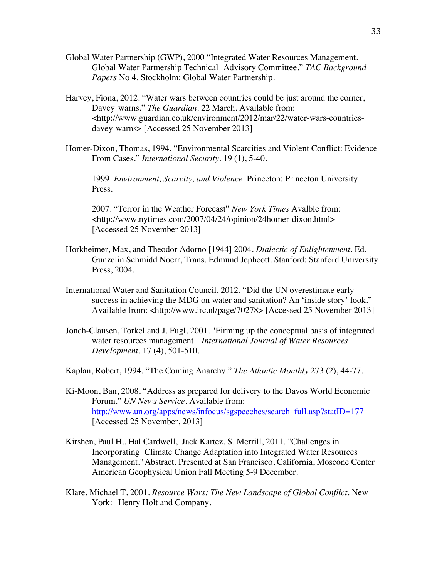- Global Water Partnership (GWP), 2000 "Integrated Water Resources Management. Global Water Partnership Technical Advisory Committee." *TAC Background Papers* No 4. Stockholm: Global Water Partnership.
- Harvey, Fiona, 2012. "Water wars between countries could be just around the corner, Davey warns." *The Guardian.* 22 March. Available from: <http://www.guardian.co.uk/environment/2012/mar/22/water-wars-countriesdavey-warns> [Accessed 25 November 2013]
- Homer-Dixon, Thomas, 1994. "Environmental Scarcities and Violent Conflict: Evidence From Cases." *International Security.* 19 (1), 5-40.

1999. *Environment, Scarcity, and Violence*. Princeton: Princeton University Press.

2007. "Terror in the Weather Forecast" *New York Times* Avalble from: <http://www.nytimes.com/2007/04/24/opinion/24homer-dixon.html> [Accessed 25 November 2013]

- Horkheimer, Max, and Theodor Adorno [1944] 2004. *Dialectic of Enlightenment*. Ed. Gunzelin Schmidd Noerr, Trans. Edmund Jephcott. Stanford: Stanford University Press, 2004.
- International Water and Sanitation Council, 2012. "Did the UN overestimate early success in achieving the MDG on water and sanitation? An 'inside story' look." Available from: <http://www.irc.nl/page/70278> [Accessed 25 November 2013]
- Jonch-Clausen, Torkel and J. Fugl, 2001. "Firming up the conceptual basis of integrated water resources management." *International Journal of Water Resources Development*. 17 (4), 501-510.

Kaplan, Robert, 1994. "The Coming Anarchy." *The Atlantic Monthly* 273 (2), 44-77.

- Ki-Moon, Ban, 2008. "Address as prepared for delivery to the Davos World Economic Forum." *UN News Service*. Available from: http://www.un.org/apps/news/infocus/sgspeeches/search\_full.asp?statID=177 [Accessed 25 November, 2013]
- Kirshen, Paul H., Hal Cardwell, Jack Kartez, S. Merrill, 2011. "Challenges in Incorporating Climate Change Adaptation into Integrated Water Resources Management,"Abstract. Presented at San Francisco, California, Moscone Center American Geophysical Union Fall Meeting 5-9 December.
- Klare, Michael T, 2001. *Resource Wars: The New Landscape of Global Conflict*. New York: Henry Holt and Company.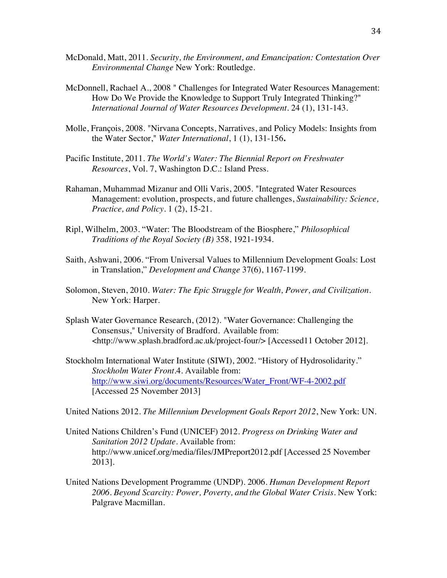- McDonald, Matt, 2011. *Security, the Environment, and Emancipation: Contestation Over Environmental Change* New York: Routledge.
- McDonnell, Rachael A., 2008 " Challenges for Integrated Water Resources Management: How Do We Provide the Knowledge to Support Truly Integrated Thinking?" *International Journal of Water Resources Development*. 24 (1), 131-143.
- Molle, François, 2008. "Nirvana Concepts, Narratives, and Policy Models: Insights from the Water Sector," *Water International*, 1 (1), 131-156**.**
- Pacific Institute, 2011. *The World's Water: The Biennial Report on Freshwater Resources*, Vol. 7, Washington D.C.: Island Press.
- Rahaman, Muhammad Mizanur and Olli Varis, 2005. "Integrated Water Resources Management: evolution, prospects, and future challenges, *Sustainability: Science, Practice, and Policy.* 1 (2), 15-21.
- Ripl, Wilhelm, 2003. "Water: The Bloodstream of the Biosphere," *Philosophical Traditions of the Royal Society (B)* 358, 1921-1934.
- Saith, Ashwani, 2006. "From Universal Values to Millennium Development Goals: Lost in Translation," *Development and Change* 37(6), 1167-1199.
- Solomon, Steven, 2010. *Water: The Epic Struggle for Wealth, Power, and Civilization.* New York: Harper.
- Splash Water Governance Research, (2012). "Water Governance: Challenging the Consensus," University of Bradford. Available from: <http://www.splash.bradford.ac.uk/project-four/> [Accessed11 October 2012].
- Stockholm International Water Institute (SIWI), 2002. "History of Hydrosolidarity." *Stockholm Water Front.*4. Available from: http://www.siwi.org/documents/Resources/Water\_Front/WF-4-2002.pdf [Accessed 25 November 2013]

United Nations 2012. *The Millennium Development Goals Report 2012*, New York: UN.

- United Nations Children's Fund (UNICEF) 2012. *Progress on Drinking Water and Sanitation 2012 Update.* Available from: http://www.unicef.org/media/files/JMPreport2012.pdf [Accessed 25 November 2013].
- United Nations Development Programme (UNDP). 2006. *Human Development Report 2006. Beyond Scarcity: Power, Poverty, and the Global Water Crisis.* New York: Palgrave Macmillan.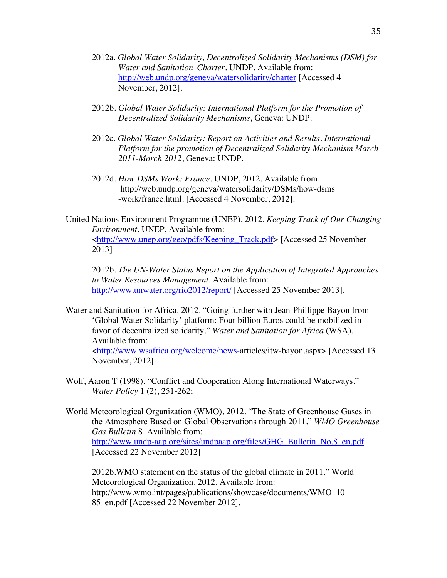- 2012a. *Global Water Solidarity, Decentralized Solidarity Mechanisms (DSM) for Water and Sanitation Charter*, UNDP. Available from: http://web.undp.org/geneva/watersolidarity/charter [Accessed 4 November, 2012].
- 2012b. *Global Water Solidarity: International Platform for the Promotion of Decentralized Solidarity Mechanisms*, Geneva: UNDP.
- 2012c. *Global Water Solidarity: Report on Activities and Results. International Platform for the promotion of Decentralized Solidarity Mechanism March 2011-March 2012*, Geneva: UNDP.
- 2012d. *How DSMs Work: France*. UNDP, 2012. Available from. http://web.undp.org/geneva/watersolidarity/DSMs/how-dsms -work/france.html. [Accessed 4 November, 2012].

United Nations Environment Programme (UNEP), 2012. *Keeping Track of Our Changing Environment*, UNEP, Available from: <http://www.unep.org/geo/pdfs/Keeping\_Track.pdf> [Accessed 25 November 2013]

2012b. *The UN-Water Status Report on the Application of Integrated Approaches to Water Resources Management.* Available from: http://www.unwater.org/rio2012/report/ [Accessed 25 November 2013].

- Water and Sanitation for Africa. 2012. "Going further with Jean-Phillippe Bayon from 'Global Water Solidarity' platform: Four billion Euros could be mobilized in favor of decentralized solidarity." *Water and Sanitation for Africa* (WSA). Available from: <http://www.wsafrica.org/welcome/news-articles/itw-bayon.aspx> [Accessed 13 November, 2012]
- Wolf, Aaron T (1998). "Conflict and Cooperation Along International Waterways." *Water Policy* 1 (2), 251-262;
- World Meteorological Organization (WMO), 2012. "The State of Greenhouse Gases in the Atmosphere Based on Global Observations through 2011," *WMO Greenhouse Gas Bulletin* 8. Available from: http://www.undp-aap.org/sites/undpaap.org/files/GHG\_Bulletin\_No.8\_en.pdf [Accessed 22 November 2012]

2012b.WMO statement on the status of the global climate in 2011." World Meteorological Organization. 2012. Available from: http://www.wmo.int/pages/publications/showcase/documents/WMO\_10 85 en.pdf [Accessed 22 November 2012].